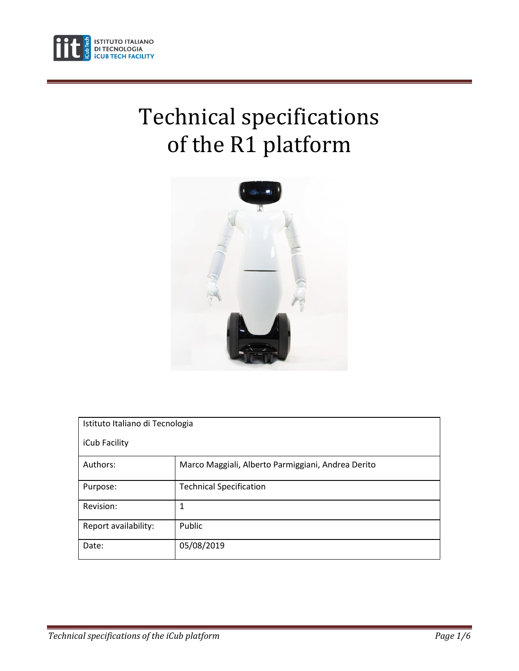

# Technical specifications of the R1 platform



| Istituto Italiano di Tecnologia |                                                    |  |  |  |
|---------------------------------|----------------------------------------------------|--|--|--|
| iCub Facility                   |                                                    |  |  |  |
| Authors:                        | Marco Maggiali, Alberto Parmiggiani, Andrea Derito |  |  |  |
| Purpose:                        | <b>Technical Specification</b>                     |  |  |  |
| Revision:                       | 1                                                  |  |  |  |
| Report availability:            | Public                                             |  |  |  |
| Date:                           | 05/08/2019                                         |  |  |  |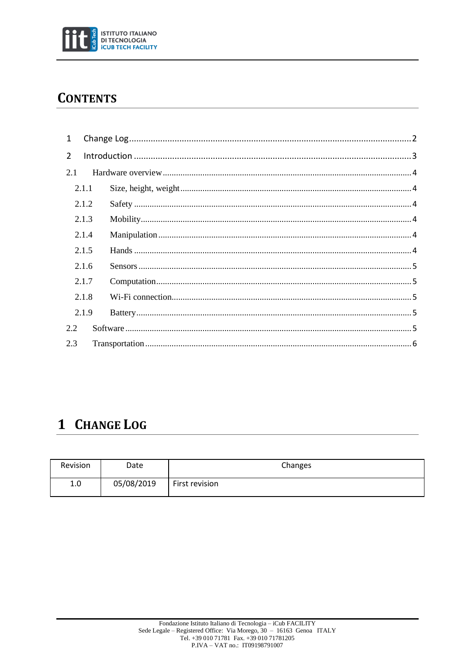

### **CONTENTS**

| $\mathbf{1}$   |       |  |  |  |
|----------------|-------|--|--|--|
| $\overline{2}$ |       |  |  |  |
| 2.1            |       |  |  |  |
|                | 2.1.1 |  |  |  |
|                | 2.1.2 |  |  |  |
|                | 2.1.3 |  |  |  |
|                | 2.1.4 |  |  |  |
|                | 2.1.5 |  |  |  |
|                | 2.1.6 |  |  |  |
|                | 2.1.7 |  |  |  |
|                | 2.1.8 |  |  |  |
|                | 2.1.9 |  |  |  |
| 2.2            |       |  |  |  |
| 2.3            |       |  |  |  |

# <span id="page-1-0"></span>1 CHANGE LOG

| Revision | Date       | Changes        |
|----------|------------|----------------|
| 1.0      | 05/08/2019 | First revision |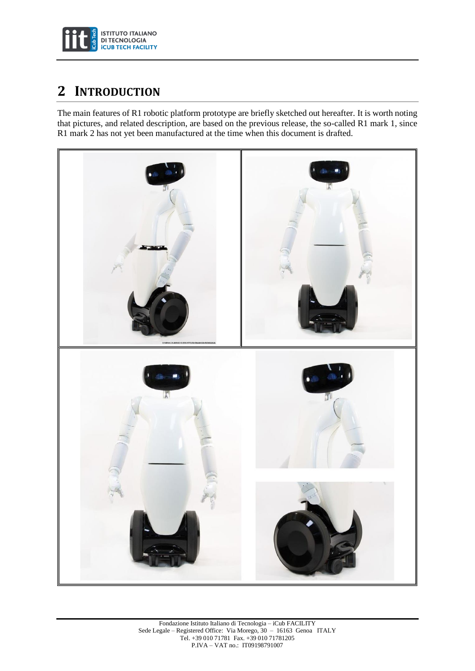

## <span id="page-2-0"></span>**2 INTRODUCTION**

The main features of R1 robotic platform prototype are briefly sketched out hereafter. It is worth noting that pictures, and related description, are based on the previous release, the so-called R1 mark 1, since R1 mark 2 has not yet been manufactured at the time when this document is drafted.

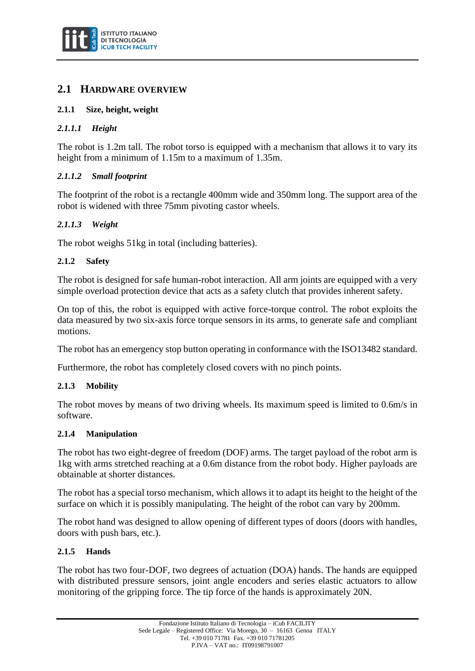

#### <span id="page-3-0"></span>**2.1 HARDWARE OVERVIEW**

#### <span id="page-3-1"></span>**2.1.1 Size, height, weight**

#### *2.1.1.1 Height*

The robot is 1.2m tall. The robot torso is equipped with a mechanism that allows it to vary its height from a minimum of 1.15m to a maximum of 1.35m.

#### *2.1.1.2 Small footprint*

The footprint of the robot is a rectangle 400mm wide and 350mm long. The support area of the robot is widened with three 75mm pivoting castor wheels.

#### *2.1.1.3 Weight*

The robot weighs 51kg in total (including batteries).

#### <span id="page-3-2"></span>**2.1.2 Safety**

The robot is designed for safe human-robot interaction. All arm joints are equipped with a very simple overload protection device that acts as a safety clutch that provides inherent safety.

On top of this, the robot is equipped with active force-torque control. The robot exploits the data measured by two six-axis force torque sensors in its arms, to generate safe and compliant motions.

The robot has an emergency stop button operating in conformance with the ISO13482 standard.

Furthermore, the robot has completely closed covers with no pinch points.

#### <span id="page-3-3"></span>**2.1.3 Mobility**

The robot moves by means of two driving wheels. Its maximum speed is limited to 0.6m/s in software.

#### <span id="page-3-4"></span>**2.1.4 Manipulation**

The robot has two eight-degree of freedom (DOF) arms. The target payload of the robot arm is 1kg with arms stretched reaching at a 0.6m distance from the robot body. Higher payloads are obtainable at shorter distances.

The robot has a special torso mechanism, which allows it to adapt its height to the height of the surface on which it is possibly manipulating. The height of the robot can vary by 200mm.

The robot hand was designed to allow opening of different types of doors (doors with handles, doors with push bars, etc.).

#### <span id="page-3-5"></span>**2.1.5 Hands**

The robot has two four-DOF, two degrees of actuation (DOA) hands. The hands are equipped with distributed pressure sensors, joint angle encoders and series elastic actuators to allow monitoring of the gripping force. The tip force of the hands is approximately 20N.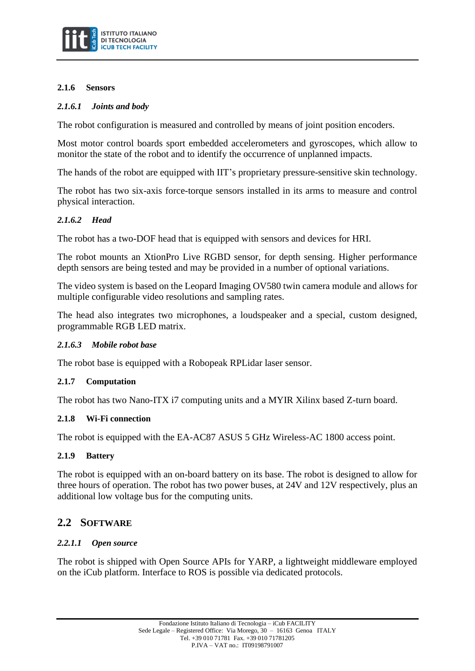

#### <span id="page-4-0"></span>**2.1.6 Sensors**

#### *2.1.6.1 Joints and body*

The robot configuration is measured and controlled by means of joint position encoders.

Most motor control boards sport embedded accelerometers and gyroscopes, which allow to monitor the state of the robot and to identify the occurrence of unplanned impacts.

The hands of the robot are equipped with IIT's proprietary pressure-sensitive skin technology.

The robot has two six-axis force-torque sensors installed in its arms to measure and control physical interaction.

#### *2.1.6.2 Head*

The robot has a two-DOF head that is equipped with sensors and devices for HRI.

The robot mounts an XtionPro Live RGBD sensor, for depth sensing. Higher performance depth sensors are being tested and may be provided in a number of optional variations.

The video system is based on the Leopard Imaging OV580 twin camera module and allows for multiple configurable video resolutions and sampling rates.

The head also integrates two microphones, a loudspeaker and a special, custom designed, programmable RGB LED matrix.

#### *2.1.6.3 Mobile robot base*

The robot base is equipped with a Robopeak RPLidar laser sensor.

#### <span id="page-4-1"></span>**2.1.7 Computation**

The robot has two Nano-ITX i7 computing units and a MYIR Xilinx based Z-turn board.

#### <span id="page-4-2"></span>**2.1.8 Wi-Fi connection**

The robot is equipped with the EA-AC87 ASUS 5 GHz Wireless-AC 1800 access point.

#### <span id="page-4-3"></span>**2.1.9 Battery**

The robot is equipped with an on-board battery on its base. The robot is designed to allow for three hours of operation. The robot has two power buses, at 24V and 12V respectively, plus an additional low voltage bus for the computing units.

#### <span id="page-4-4"></span>**2.2 SOFTWARE**

#### *2.2.1.1 Open source*

The robot is shipped with Open Source APIs for YARP, a lightweight middleware employed on the iCub platform. Interface to ROS is possible via dedicated protocols.